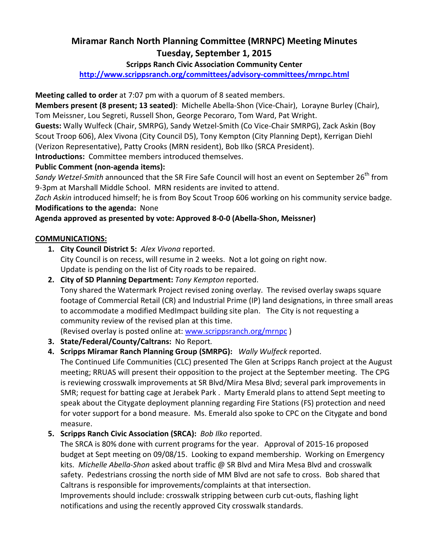# Miramar Ranch North Planning Committee (MRNPC) Meeting Minutes Tuesday, September 1, 2015

#### Scripps Ranch Civic Association Community Center

http://www.scrippsranch.org/committees/advisory-committees/mrnpc.html

Meeting called to order at 7:07 pm with a quorum of 8 seated members.

Members present (8 present; 13 seated): Michelle Abella-Shon (Vice-Chair), Lorayne Burley (Chair), Tom Meissner, Lou Segreti, Russell Shon, George Pecoraro, Tom Ward, Pat Wright.

Guests: Wally Wulfeck (Chair, SMRPG), Sandy Wetzel-Smith (Co Vice-Chair SMRPG), Zack Askin (Boy Scout Troop 606), Alex Vivona (City Council D5), Tony Kempton (City Planning Dept), Kerrigan Diehl (Verizon Representative), Patty Crooks (MRN resident), Bob Ilko (SRCA President).

Introductions: Committee members introduced themselves.

### Public Comment (non-agenda items):

Sandy Wetzel-Smith announced that the SR Fire Safe Council will host an event on September 26<sup>th</sup> from 9-3pm at Marshall Middle School. MRN residents are invited to attend.

Zach Askin introduced himself; he is from Boy Scout Troop 606 working on his community service badge. Modifications to the agenda: None

## Agenda approved as presented by vote: Approved 8-0-0 (Abella-Shon, Meissner)

#### COMMUNICATIONS:

- 1. City Council District 5: Alex Vivona reported. City Council is on recess, will resume in 2 weeks. Not a lot going on right now. Update is pending on the list of City roads to be repaired.
- 2. City of SD Planning Department: Tony Kempton reported. Tony shared the Watermark Project revised zoning overlay. The revised overlay swaps square footage of Commercial Retail (CR) and Industrial Prime (IP) land designations, in three small areas to accommodate a modified MedImpact building site plan. The City is not requesting a community review of the revised plan at this time.

(Revised overlay is posted online at: www.scrippsranch.org/mrnpc )

- 3. State/Federal/County/Caltrans: No Report.
- 4. Scripps Miramar Ranch Planning Group (SMRPG): Wally Wulfeck reported.

The Continued Life Communities (CLC) presented The Glen at Scripps Ranch project at the August meeting; RRUAS will present their opposition to the project at the September meeting. The CPG is reviewing crosswalk improvements at SR Blvd/Mira Mesa Blvd; several park improvements in SMR; request for batting cage at Jerabek Park . Marty Emerald plans to attend Sept meeting to speak about the Citygate deployment planning regarding Fire Stations (FS) protection and need for voter support for a bond measure. Ms. Emerald also spoke to CPC on the Citygate and bond measure.

5. Scripps Ranch Civic Association (SRCA): Bob Ilko reported.

The SRCA is 80% done with current programs for the year. Approval of 2015-16 proposed budget at Sept meeting on 09/08/15. Looking to expand membership. Working on Emergency kits. Michelle Abella-Shon asked about traffic @ SR Blvd and Mira Mesa Blvd and crosswalk safety. Pedestrians crossing the north side of MM Blvd are not safe to cross. Bob shared that Caltrans is responsible for improvements/complaints at that intersection.

Improvements should include: crosswalk stripping between curb cut-outs, flashing light notifications and using the recently approved City crosswalk standards.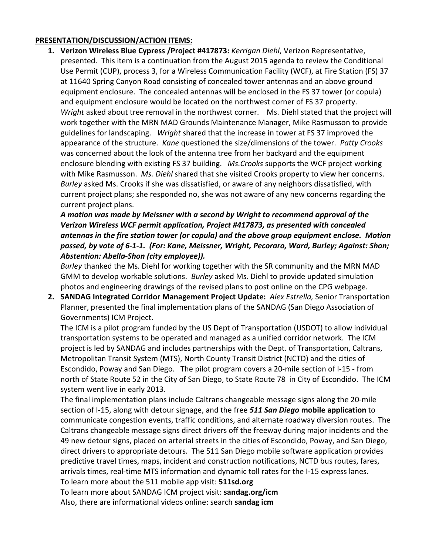#### PRESENTATION/DISCUSSION/ACTION ITEMS:

1. Verizon Wireless Blue Cypress / Project #417873: Kerrigan Diehl, Verizon Representative, presented. This item is a continuation from the August 2015 agenda to review the Conditional Use Permit (CUP), process 3, for a Wireless Communication Facility (WCF), at Fire Station (FS) 37 at 11640 Spring Canyon Road consisting of concealed tower antennas and an above ground equipment enclosure. The concealed antennas will be enclosed in the FS 37 tower (or copula) and equipment enclosure would be located on the northwest corner of FS 37 property. Wright asked about tree removal in the northwest corner. Ms. Diehl stated that the project will work together with the MRN MAD Grounds Maintenance Manager, Mike Rasmusson to provide guidelines for landscaping. Wright shared that the increase in tower at FS 37 improved the appearance of the structure. Kane questioned the size/dimensions of the tower. Patty Crooks was concerned about the look of the antenna tree from her backyard and the equipment enclosure blending with existing FS 37 building. Ms.Crooks supports the WCF project working with Mike Rasmusson. Ms. Diehl shared that she visited Crooks property to view her concerns. Burley asked Ms. Crooks if she was dissatisfied, or aware of any neighbors dissatisfied, with current project plans; she responded no, she was not aware of any new concerns regarding the current project plans.

A motion was made by Meissner with a second by Wright to recommend approval of the Verizon Wireless WCF permit application, Project #417873, as presented with concealed antennas in the fire station tower (or copula) and the above group equipment enclose. Motion passed, by vote of 6-1-1. (For: Kane, Meissner, Wright, Pecoraro, Ward, Burley; Against: Shon; Abstention: Abella-Shon (city employee)).

Burley thanked the Ms. Diehl for working together with the SR community and the MRN MAD GMM to develop workable solutions. Burley asked Ms. Diehl to provide updated simulation photos and engineering drawings of the revised plans to post online on the CPG webpage.

2. SANDAG Integrated Corridor Management Project Update: Alex Estrella, Senior Transportation Planner, presented the final implementation plans of the SANDAG (San Diego Association of Governments) ICM Project.

The ICM is a pilot program funded by the US Dept of Transportation (USDOT) to allow individual transportation systems to be operated and managed as a unified corridor network. The ICM project is led by SANDAG and includes partnerships with the Dept. of Transportation, Caltrans, Metropolitan Transit System (MTS), North County Transit District (NCTD) and the cities of Escondido, Poway and San Diego. The pilot program covers a 20-mile section of I-15 - from north of State Route 52 in the City of San Diego, to State Route 78 in City of Escondido. The ICM system went live in early 2013.

The final implementation plans include Caltrans changeable message signs along the 20-mile section of I-15, along with detour signage, and the free 511 San Diego mobile application to communicate congestion events, traffic conditions, and alternate roadway diversion routes. The Caltrans changeable message signs direct drivers off the freeway during major incidents and the 49 new detour signs, placed on arterial streets in the cities of Escondido, Poway, and San Diego, direct drivers to appropriate detours. The 511 San Diego mobile software application provides predictive travel times, maps, incident and construction notifications, NCTD bus routes, fares, arrivals times, real-time MTS information and dynamic toll rates for the I-15 express lanes. To learn more about the 511 mobile app visit: 511sd.org

To learn more about SANDAG ICM project visit: sandag.org/icm

Also, there are informational videos online: search sandag icm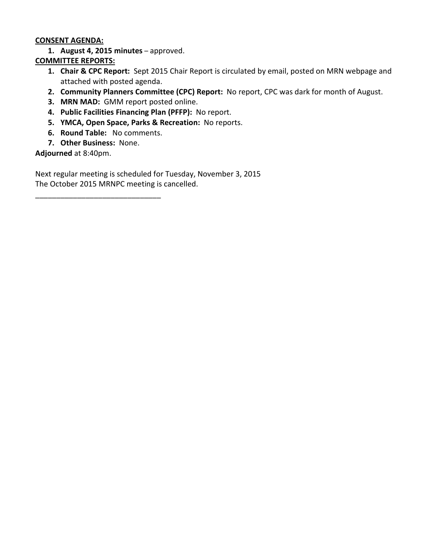#### CONSENT AGENDA:

1. August 4, 2015 minutes – approved.

#### COMMITTEE REPORTS:

- 1. Chair & CPC Report: Sept 2015 Chair Report is circulated by email, posted on MRN webpage and attached with posted agenda.
- 2. Community Planners Committee (CPC) Report: No report, CPC was dark for month of August.
- 3. MRN MAD: GMM report posted online.
- 4. Public Facilities Financing Plan (PFFP): No report.
- 5. YMCA, Open Space, Parks & Recreation: No reports.
- 6. Round Table: No comments.
- 7. Other Business: None.

Adjourned at 8:40pm.

Next regular meeting is scheduled for Tuesday, November 3, 2015 The October 2015 MRNPC meeting is cancelled.

\_\_\_\_\_\_\_\_\_\_\_\_\_\_\_\_\_\_\_\_\_\_\_\_\_\_\_\_\_\_